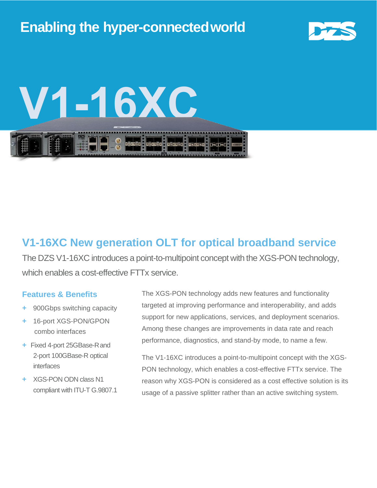

# **V1-16XC**

### **V1-16XC New generation OLT for optical broadband service**

The DZS V1-16XC introduces a point-to-multipoint concept with the XGS-PON technology, which enables a cost-effective FTTx service.

#### **Features & Benefits**

- **+** 900Gbps switching capacity
- **+** 16-port XGS-PON/GPON combo interfaces
- **+** Fixed 4-port 25GBase-Rand 2-port 100GBase-R optical interfaces
- **+** XGS-PON ODN class N1 compliant with ITU-T G.9807.1

The XGS-PON technology adds new features and functionality targeted at improving performance and interoperability, and adds support for new applications, services, and deployment scenarios. Among these changes are improvements in data rate and reach performance, diagnostics, and stand-by mode, to name a few.

The V1-16XC introduces a point-to-multipoint concept with the XGS-PON technology, which enables a cost-effective FTTx service. The reason why XGS-PON is considered as a cost effective solution is its usage of a passive splitter rather than an active switching system.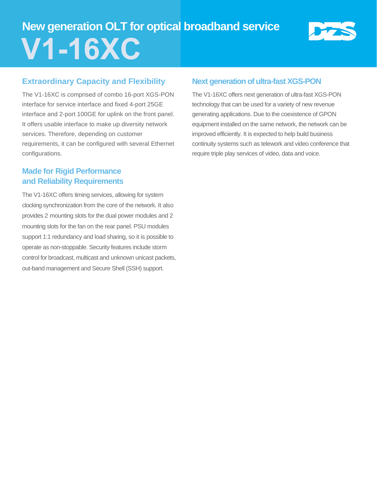# **New generation OLT for optical broadband service V1-16XC**

#### **Extraordinary Capacity and Flexibility**

The V1-16XC is comprised of combo 16-port XGS-PON interface for service interface and fixed 4-port 25GE interface and 2-port 100GE for uplink on the front panel. It offers usable interface to make up diversity network services. Therefore, depending on customer requirements, it can be configured with several Ethernet configurations.

#### **Made for Rigid Performance and Reliability Requirements**

The V1-16XC offers timing services, allowing for system clocking synchronization from the core of the network. It also provides 2 mounting slots for the dual power modules and 2 mounting slots for the fan on the rear panel. PSU modules support 1:1 redundancy and load sharing, so it is possible to operate as non-stoppable. Security features include storm control for broadcast, multicast and unknown unicast packets, out-band management and Secure Shell (SSH) support.

#### **Next generation of ultra-fast XGS-PON**

The V1-16XC offers next generation of ultra-fast XGS-PON technology that can be used for a variety of new revenue generating applications. Due to the coexistence of GPON equipment installed on the same network, the network can be improved efficiently. It is expected to help build business continuity systems such as telework and video conference that require triple play services of video, data and voice.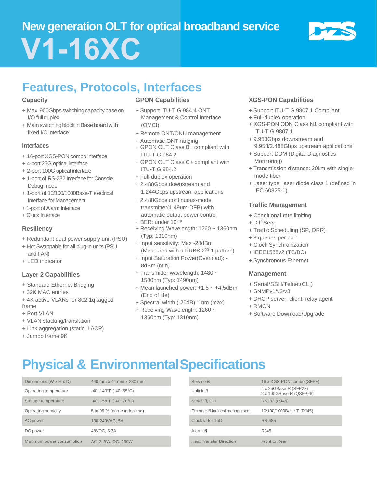# **New generation OLT for optical broadband service V1-16XC**



## **Features, Protocols, Interfaces**

#### **Capacity**

- + Max. 900Gbps switching capacity base on I/O fullduplex
- + Main switching block in Base board with fixed I/O Interface

#### **Interfaces**

- + 16-port XGS-PON combo interface
- + 4-port 25G optical interface
- + 2-port 100G optical interface
- + 1-port of RS-232 Interface for Console Debug mode
- + 1-port of 10/100/1000Base-T electrical Interface for Management
- + 1-port of Alarm Interface
- + Clock Interface

#### **Resiliency**

- + Redundant dual power supply unit (PSU)
- + Hot Swappable for all plug-in units (PSU and FAN)
- + LED indicator

#### **Layer 2 Capabilities**

- + Standard Ethernet Bridging
- + 32K MAC entries
- + 4K active VLANs for 802.1q tagged frame
- + Port VLAN
- + VLAN stacking/translation
- + Link aggregation (static, LACP)
- + Jumbo frame 9K

#### **GPON Capabilities**

- + Support ITU-T G.984.4 ONT Management & Control Interface (OMCI)
- + Remote ONT/ONU management
- + Automatic ONT ranging
- + GPON OLT Class B+ compliant with ITU-T G.984.2
- + GPON OLT Class C+ compliant with ITU-T G.984.2
- + Full-duplex operation
- + 2.488Gbps downstream and 1.244Gbps upstream applications
- + 2.488Gbps continuous-mode transmitter(1.49um-DFB) with automatic output power control
- $+$  BER: under  $10^{-10}$
- + Receiving Wavelength: 1260 ~ 1360nm (Typ: 1310nm)
- + Input sensitivity: Max -28dBm (Measured with a PRBS 2<sup>23</sup>-1 pattern)
- + Input Saturation Power(Overload): 8dBm (min)
- + Transmitter wavelength: 1480 ~ 1500nm (Typ: 1490nm)
- $+$  Mean launched power:  $+1.5 \sim +4.5$ dBm (End of life)
- + Spectral width (-20dB): 1nm (max)
- + Receiving Wavelength: 1260 ~ 1360nm (Typ: 1310nm)

#### **XGS-PON Capabilities**

- + Support ITU-T G.9807.1 Compliant
- + Full-duplex operation
- + XGS-PON ODN Class N1 compliant with ITU-T G.9807.1
- + 9.953Gbps downstream and 9.953/2.488Gbps upstream applications
- + Support DDM (Digital Diagnostics Monitoring)
- + Transmission distance: 20km with singlemode fiber
- + Laser type: laser diode class 1 (defined in IEC 60825-1)

#### **Traffic Management**

- + Conditional rate limiting
- + Diff Serv
- + Traffic Scheduling (SP, DRR)
- + 8 queues per port
- + Clock Synchronization
- + IEEE1588v2 (TC/BC)
- + Synchronous Ethernet

#### **Management**

- + Serial/SSH/Telnet(CLI)
- + SNMPv1/v2/v3
- + DHCP server, client, relay agent
- + RMON
- + Software Download/Upgrade

# **Physical & EnvironmentalSpecifications**

| Dimensions (W $\times$ H $\times$ D) | 440 mm x 44 mm x 280 mm         | Service i/f                       | 16 x XGS-PON combo (SFP+)                        |
|--------------------------------------|---------------------------------|-----------------------------------|--------------------------------------------------|
| Operating temperature                | $-40 - 149$ °F ( $-40 - 65$ °C) | Uplink i/f                        | 4 x 25GBase-R (SFP28)<br>2 x 100GBase-R (QSFP28) |
| Storage temperature                  | $-40-158$ °F ( $-40-70$ °C)     | Serial i/f. CLI                   | RS232 (RJ45)                                     |
| Operating humidity                   | 5 to 95 % (non-condensing)      | Ethernet i/f for local management | 10/100/1000Base-T (RJ45)                         |
| AC power                             | 100-240VAC, 5A                  | Clock i/f for ToD                 | <b>RS-485</b>                                    |
| DC power                             | 48VDC, 6.3A                     | Alarm i/f                         | RJ45                                             |
| Maximum power consumption            | AC: 245W, DC: 230W              | <b>Heat Transfer Direction</b>    | Front to Rear                                    |

| Service i/f                       | 16 x XGS-PON combo (SFP+)                        |
|-----------------------------------|--------------------------------------------------|
| Uplink i/f                        | 4 x 25GBase-R (SFP28)<br>2 x 100GBase-R (QSFP28) |
| Serial i/f, CLI                   | RS232 (RJ45)                                     |
| Ethernet i/f for local management | 10/100/1000Base-T (RJ45)                         |
| Clock i/f for ToD                 | <b>RS-485</b>                                    |
| Alarm i/f                         | RJ45                                             |
| <b>Heat Transfer Direction</b>    | Front to Rear                                    |